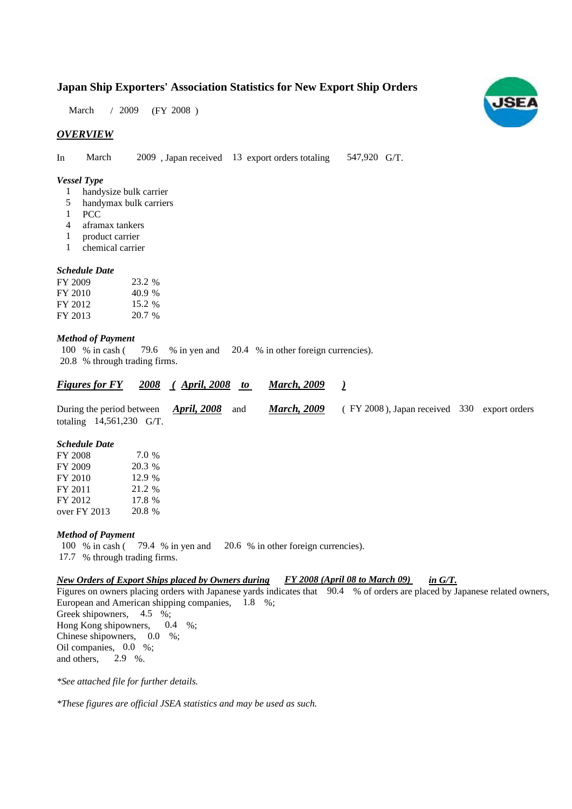# **Japan Ship Exporters' Association Statistics for New Export Ship Orders**

March / 2009 (FY 2008)

## *OVERVIEW*

In March 2009, Japan received 13 export orders totaling 547,920 G/T.

## *Vessel Type*

- handysize bulk carrier 1
- handymax bulk carriers 5
- PCC 1
- aframax tankers 4
- product carrier 1
- chemical carrier 1

## *Schedule Date*

| FY 2009 | 23.2 %   |
|---------|----------|
| FY 2010 | 40.9 %   |
| FY 2012 | 15.2 %   |
| FY 2013 | $20.7\%$ |

### *Method of Payment*

% in cash (79.6 % in yen and 20.4 % in other foreign currencies). % through trading firms. 20.8 100 % in cash (

| <b>Figures for FY</b>                                                                 | <u>2008 (April, 2008 to </u> | <u>March, 2009</u> |                                                |  |
|---------------------------------------------------------------------------------------|------------------------------|--------------------|------------------------------------------------|--|
| During the period between $\rightarrow$ April, 2008 and<br>totaling $14,561,230$ G/T. |                              | <b>March, 2009</b> | $($ FY 2008), Japan received 330 export orders |  |

#### *Schedule Date*

| 7.0 %  |
|--------|
| 20.3 % |
| 12.9 % |
| 21.2 % |
| 17.8 % |
| 20.8 % |
|        |

#### *Method of Payment*

100 % in cash (79.4 % in yen and 20.6 % in other foreign currencies). 17.7 % through trading firms.

## *New Orders of Export Ships placed by Owners during FY 2008 (April 08 to March 09) in G/T.*

Figures on owners placing orders with Japanese yards indicates that 90.4 % of orders are placed by Japanese related owners, European and American shipping companies, 1.8 %; Greek shipowners,  $4.5\%$ ; Hong Kong shipowners,  $0.4\%$ ; Chinese shipowners,  $0.0\%$ ; Oil companies, 0.0 %; and others, 0.4 2.9 %.

*\*See attached file for further details.*

*\*These figures are official JSEA statistics and may be used as such.*

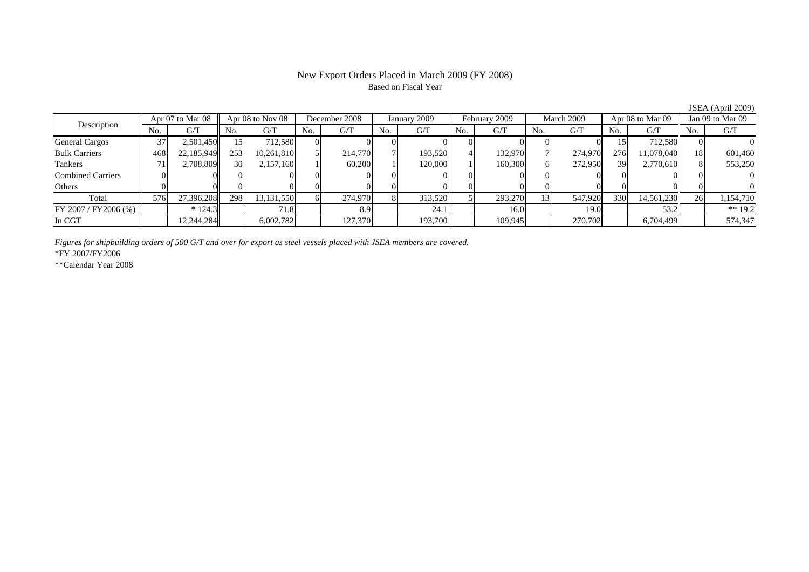# New Export Orders Placed in March 2009 (FY 2008) Based on Fiscal Year

|                       |                  |            |                  |            |               |         |              |         |               |         |            |         |                  |            |                  | $JU11$ (Tiplican $LUU$ |
|-----------------------|------------------|------------|------------------|------------|---------------|---------|--------------|---------|---------------|---------|------------|---------|------------------|------------|------------------|------------------------|
|                       | Apr 07 to Mar 08 |            | Apr 08 to Nov 08 |            | December 2008 |         | January 2009 |         | February 2009 |         | March 2009 |         | Apr 08 to Mar 09 |            | Jan 09 to Mar 09 |                        |
| Description           | No.              | G/T        | No.              | G/T        | No.           | G/T     | No.          | G/T     | No.           | G/T     | No.        | G/T     | No.              | G/T        | No.              | G/T                    |
| <b>General Cargos</b> | 37               | 2,501,450  |                  | 712.580    |               |         |              |         |               |         |            |         |                  | 712.580    |                  |                        |
| <b>Bulk Carriers</b>  | 468              | 22,185,949 | 253              | 10,261,810 |               | 214,770 |              | 193,520 |               | 132,970 |            | 274,970 | 276              | 11.078.040 |                  | 601,460                |
| Tankers               |                  | 2.708.809  | 30               | 2,157,160  |               | 60,200  |              | 120,000 |               | 160,300 | 61         | 272,950 | 39               | 2.770.610  |                  | 553,250                |
| Combined Carriers     |                  |            |                  |            |               |         |              |         |               |         |            |         |                  |            |                  |                        |
| Others                |                  |            |                  |            |               |         |              |         |               |         |            |         |                  |            |                  |                        |
| Total                 | 576              | 27,396,208 | 298              | 13,131,550 |               | 274,970 |              | 313,520 |               | 293,270 | 131        | 547,920 | 330              | 14,561,230 | 26               | 1,154,710              |
| FY 2007 / FY 2006 (%) |                  | $*124.3$   |                  | 71.8       |               | 8.9     |              | 24.1    |               | 16.0    |            | 19.0    |                  | 53.2       |                  | $** 19.2$              |
| In CGT                |                  | 2,244,284  |                  | 6,002,782  |               | 127,370 |              | 193,700 |               | 109,945 |            | 270,702 |                  | 6,704,499  |                  | 574,347                |

*Figures for shipbuilding orders of 500 G/T and over for export as steel vessels placed with JSEA members are covered.*

\*FY 2007/FY2006

\*\*Calendar Year 2008

 $JSEA (April 2009)$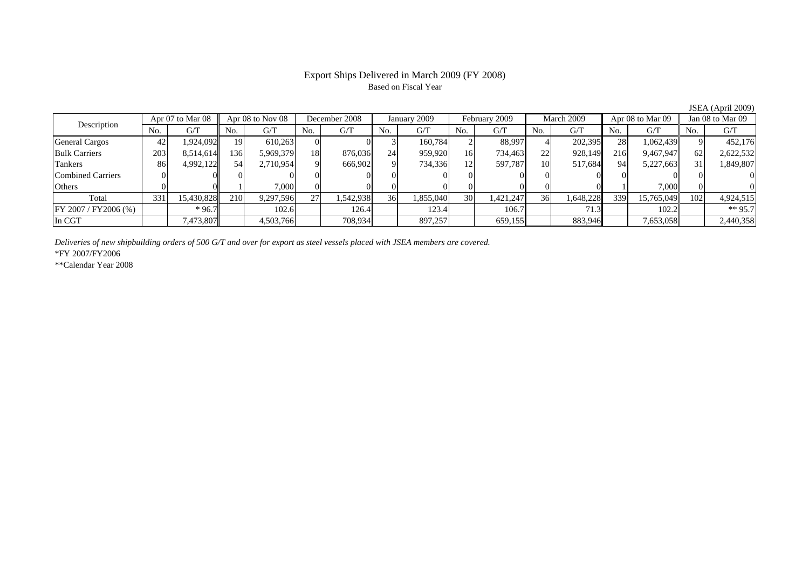# Export Ships Delivered in March 2009 (FY 2008) Based on Fiscal Year

|                          |      |                  |            |                  |          |               |     |              |                 |               |     |            |     |                  |     | $0.0111$ (1 Ipril 2007) |  |
|--------------------------|------|------------------|------------|------------------|----------|---------------|-----|--------------|-----------------|---------------|-----|------------|-----|------------------|-----|-------------------------|--|
| Description              |      | Apr 07 to Mar 08 |            | Apr 08 to Nov 08 |          | December 2008 |     | January 2009 |                 | February 2009 |     | March 2009 |     | Apr 08 to Mar 09 |     | Jan 08 to Mar 09        |  |
|                          | No.  | G/T              | No.        | G/T              | No.      | G/T           | No. | G/T          | N <sub>0</sub>  | G/T           | No. | G/T        | No. | G/T              | No. | G/T                     |  |
| <b>General Cargos</b>    | 42   | 1,924,092        | 191        | 610,263          |          |               |     | 160.784      |                 | 88.997        |     | 202,395    | 28  | 1,062,439        |     | 452,176                 |  |
| <b>Bulk Carriers</b>     | 2031 | 8,514,614        | 136        | 5,969,379        | 18       | 876,036       | 24  | 959,920      | 16              | 734,463       | 22  | 928,149    | 216 | 9,467,947        | 62  | 2,622,532               |  |
| Tankers                  | 86   | 4,992,122        | 54         | 2,710,954        | $\Omega$ | 666,902       |     | 734,336      | 12              | 597.787       | 10  | 517,684    | 94  | 5,227,663        |     | 1,849,807               |  |
| <b>Combined Carriers</b> |      |                  |            |                  |          |               |     |              |                 |               |     |            |     |                  |     |                         |  |
| Others                   |      |                  |            | 7,000            |          |               |     |              |                 |               |     |            |     | 7.000            |     |                         |  |
| Total                    | 331  | 15,430,828       | <b>210</b> | 9,297,596        | 271      | 1,542,938     | 36  | 1,855,040    | 30 <sup>1</sup> | 1,421,247     | 36  | 1,648,228  | 339 | 15.765.049       | 102 | 4,924,515               |  |
| FY 2007 / FY 2006 (%)    |      | $*96.7$          |            | 102.6            |          | 126.4         |     | 123.4        |                 | 106.7         |     | 71.3       |     | 102.2            |     | ** 95.7                 |  |
| In CGT                   |      | 7,473,807        |            | 4,503,766        |          | 708,934       |     | 897,257      |                 | 659,155       |     | 883,946    |     | 7,653,058        |     | 2,440,358               |  |

*Deliveries of new shipbuilding orders of 500 G/T and over for export as steel vessels placed with JSEA members are covered.*

\*FY 2007/FY2006

\*\*Calendar Year 2008

JSEA (April 2009)